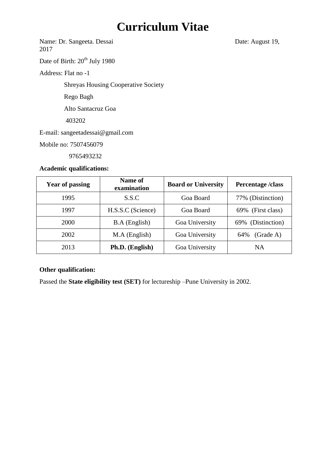# **Curriculum Vitae**

Name: Dr. Sangeeta. Dessai Date: August 19, 2017

Date of Birth:  $20^{th}$  July 1980

Address: Flat no -1

Shreyas Housing Cooperative Society

Rego Bagh

Alto Santacruz Goa

403202

E-mail: sangeetadessai@gmail.com

Mobile no: 7507456079

9765493232

### **Academic qualifications:**

| <b>Year of passing</b> | Name of<br>examination | <b>Board or University</b> | Percentage/class  |  |
|------------------------|------------------------|----------------------------|-------------------|--|
| 1995                   | S.S.C                  | Goa Board                  | 77% (Distinction) |  |
| 1997                   | H.S.S.C (Science)      | Goa Board                  | 69% (First class) |  |
| 2000                   | <b>B.A</b> (English)   | Goa University             | 69% (Distinction) |  |
| 2002                   | $MA$ (English)         | Goa University             | (Grade A)<br>64%  |  |
| 2013                   | Ph.D. (English)        | Goa University             | NA                |  |

# **Other qualification:**

Passed the **State eligibility test (SET)** for lectureship –Pune University in 2002.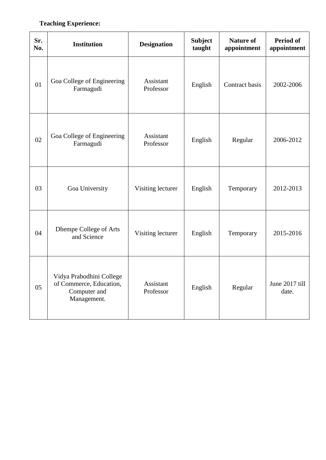# **Teaching Experience:**

| Sr.<br>No. | <b>Institution</b>                                                                 | <b>Designation</b>     | <b>Subject</b><br>taught | <b>Nature of</b><br>appointment | <b>Period of</b><br>appointment |
|------------|------------------------------------------------------------------------------------|------------------------|--------------------------|---------------------------------|---------------------------------|
| 01         | Goa College of Engineering<br>Farmagudi                                            | Assistant<br>Professor | English                  | Contract basis                  | 2002-2006                       |
| 02         | Goa College of Engineering<br>Farmagudi                                            | Assistant<br>Professor | English                  | Regular                         | 2006-2012                       |
| 03         | Goa University                                                                     | Visiting lecturer      | English                  | Temporary                       | 2012-2013                       |
| 04         | Dhempe College of Arts<br>and Science                                              | Visiting lecturer      | English                  | Temporary                       | 2015-2016                       |
| 05         | Vidya Prabodhini College<br>of Commerce, Education,<br>Computer and<br>Management. | Assistant<br>Professor | English                  | Regular                         | June 2017 till<br>date.         |